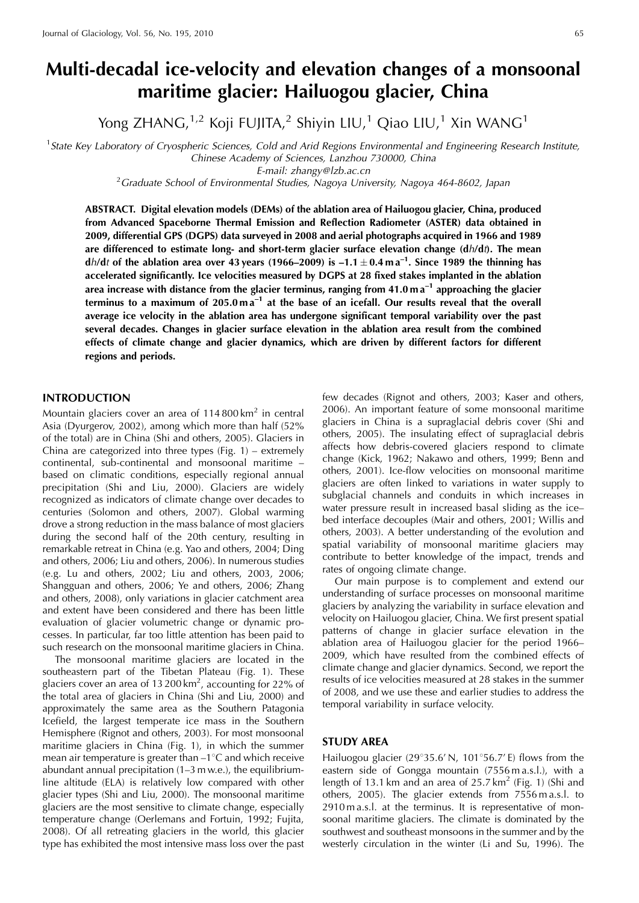# **Multi-decadal ice-velocity and elevation changes of a monsoonal maritime glacier: Hailuogou glacier, China**

Yong ZHANG, $1,2$  Koji FUJITA, $2$  Shiyin LIU, $1$  Qiao LIU, $1$  Xin WANG $1$ 

<sup>1</sup> State Key Laboratory of Cryospheric Sciences, Cold and Arid Regions Environmental and Engineering Research Institute, Chinese Academy of Sciences, Lanzhou 730000, China

E-mail: zhangy@lzb.ac.cn<br><sup>2</sup>Graduate School of Environmental Studies, Nagoya University, Nagoya 464-8602, Japan

**ABSTRACT. Digital elevation models (DEMs) of the ablation area of Hailuogou glacier, China, produced from Advanced Spaceborne Thermal Emission and Reflection Radiometer (ASTER) data obtained in 2009, differential GPS (DGPS) data surveyed in 2008 and aerial photographs acquired in 1966 and 1989 are differenced to estimate long- and short-term glacier surface elevation change (d**h**/d**t**). The mean** dh/dt of the ablation area over 43 years (1966–2009) is  $-1.1 \pm 0.4$  m a<sup>-1</sup>. Since 1989 the thinning has **accelerated significantly. Ice velocities measured by DGPS at 28 fixed stakes implanted in the ablation area increase with distance from the glacier terminus, ranging from 41.0 m a–1 approaching the glacier terminus to a maximum of 205.0 m a–1 at the base of an icefall. Our results reveal that the overall average ice velocity in the ablation area has undergone significant temporal variability over the past several decades. Changes in glacier surface elevation in the ablation area result from the combined effects of climate change and glacier dynamics, which are driven by different factors for different regions and periods.**

## **INTRODUCTION**

Mountain glaciers cover an area of  $114800 \mathrm{km}^2$  in central Asia (Dyurgerov, 2002), among which more than half (52% of the total) are in China (Shi and others, 2005). Glaciers in China are categorized into three types (Fig. 1) – extremely continental, sub-continental and monsoonal maritime – based on climatic conditions, especially regional annual precipitation (Shi and Liu, 2000). Glaciers are widely recognized as indicators of climate change over decades to centuries (Solomon and others, 2007). Global warming drove a strong reduction in the mass balance of most glaciers during the second half of the 20th century, resulting in remarkable retreat in China (e.g. Yao and others, 2004; Ding and others, 2006; Liu and others, 2006). In numerous studies (e.g. Lu and others, 2002; Liu and others, 2003, 2006; Shangguan and others, 2006; Ye and others, 2006; Zhang and others, 2008), only variations in glacier catchment area and extent have been considered and there has been little evaluation of glacier volumetric change or dynamic processes. In particular, far too little attention has been paid to such research on the monsoonal maritime glaciers in China.

The monsoonal maritime glaciers are located in the southeastern part of the Tibetan Plateau (Fig. 1). These glaciers cover an area of 13 200 km<sup>2</sup>, accounting for 22% of the total area of glaciers in China (Shi and Liu, 2000) and approximately the same area as the Southern Patagonia Icefield, the largest temperate ice mass in the Southern Hemisphere (Rignot and others, 2003). For most monsoonal maritime glaciers in China (Fig. 1), in which the summer mean air temperature is greater than  $-1^{\circ}$ C and which receive abundant annual precipitation (1–3 m w.e.), the equilibriumline altitude (ELA) is relatively low compared with other glacier types (Shi and Liu, 2000). The monsoonal maritime glaciers are the most sensitive to climate change, especially temperature change (Oerlemans and Fortuin, 1992; Fujita, 2008). Of all retreating glaciers in the world, this glacier type has exhibited the most intensive mass loss over the past

few decades (Rignot and others, 2003; Kaser and others, 2006). An important feature of some monsoonal maritime glaciers in China is a supraglacial debris cover (Shi and others, 2005). The insulating effect of supraglacial debris affects how debris-covered glaciers respond to climate change (Kick, 1962; Nakawo and others, 1999; Benn and others, 2001). Ice-flow velocities on monsoonal maritime glaciers are often linked to variations in water supply to subglacial channels and conduits in which increases in water pressure result in increased basal sliding as the ice– bed interface decouples (Mair and others, 2001; Willis and others, 2003). A better understanding of the evolution and spatial variability of monsoonal maritime glaciers may contribute to better knowledge of the impact, trends and rates of ongoing climate change.

Our main purpose is to complement and extend our understanding of surface processes on monsoonal maritime glaciers by analyzing the variability in surface elevation and velocity on Hailuogou glacier, China. We first present spatial patterns of change in glacier surface elevation in the ablation area of Hailuogou glacier for the period 1966– 2009, which have resulted from the combined effects of climate change and glacier dynamics. Second, we report the results of ice velocities measured at 28 stakes in the summer of 2008, and we use these and earlier studies to address the temporal variability in surface velocity.

#### **STUDY AREA**

Hailuogou glacier (29 $\degree$ 35.6' N, 101 $\degree$ 56.7' E) flows from the eastern side of Gongga mountain (7556 m a.s.l.), with a length of 13.1 km and an area of  $25.7 \text{ km}^2$  (Fig. 1) (Shi and others, 2005). The glacier extends from 7556 m a.s.l. to 2910 m a.s.l. at the terminus. It is representative of monsoonal maritime glaciers. The climate is dominated by the southwest and southeast monsoons in the summer and by the westerly circulation in the winter (Li and Su, 1996). The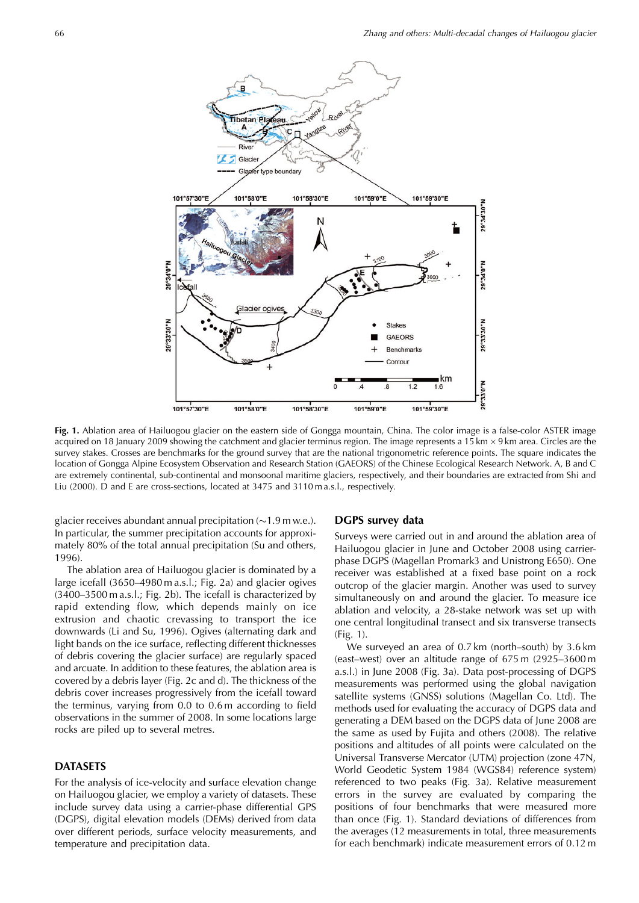

**Fig. 1.** Ablation area of Hailuogou glacier on the eastern side of Gongga mountain, China. The color image is a false-color ASTER image acquired on 18 January 2009 showing the catchment and glacier terminus region. The image represents a 15 km  $\times$  9 km area. Circles are the survey stakes. Crosses are benchmarks for the ground survey that are the national trigonometric reference points. The square indicates the location of Gongga Alpine Ecosystem Observation and Research Station (GAEORS) of the Chinese Ecological Research Network. A, B and C are extremely continental, sub-continental and monsoonal maritime glaciers, respectively, and their boundaries are extracted from Shi and Liu (2000). D and E are cross-sections, located at 3475 and 3110 m a.s.l., respectively.

glacier receives abundant annual precipitation  $(\sim 1.9 \text{ m} \text{ w.e.})$ . In particular, the summer precipitation accounts for approximately 80% of the total annual precipitation (Su and others, 1996).

The ablation area of Hailuogou glacier is dominated by a large icefall (3650–4980 m a.s.l.; Fig. 2a) and glacier ogives (3400–3500 m a.s.l.; Fig. 2b). The icefall is characterized by rapid extending flow, which depends mainly on ice extrusion and chaotic crevassing to transport the ice downwards (Li and Su, 1996). Ogives (alternating dark and light bands on the ice surface, reflecting different thicknesses of debris covering the glacier surface) are regularly spaced and arcuate. In addition to these features, the ablation area is covered by a debris layer (Fig. 2c and d). The thickness of the debris cover increases progressively from the icefall toward the terminus, varying from 0.0 to 0.6 m according to field observations in the summer of 2008. In some locations large rocks are piled up to several metres.

## **DATASETS**

For the analysis of ice-velocity and surface elevation change on Hailuogou glacier, we employ a variety of datasets. These include survey data using a carrier-phase differential GPS (DGPS), digital elevation models (DEMs) derived from data over different periods, surface velocity measurements, and temperature and precipitation data.

# **DGPS survey data**

Surveys were carried out in and around the ablation area of Hailuogou glacier in June and October 2008 using carrierphase DGPS (Magellan Promark3 and Unistrong E650). One receiver was established at a fixed base point on a rock outcrop of the glacier margin. Another was used to survey simultaneously on and around the glacier. To measure ice ablation and velocity, a 28-stake network was set up with one central longitudinal transect and six transverse transects (Fig. 1).

We surveyed an area of 0.7 km (north–south) by 3.6 km (east–west) over an altitude range of 675 m (2925–3600 m a.s.l.) in June 2008 (Fig. 3a). Data post-processing of DGPS measurements was performed using the global navigation satellite systems (GNSS) solutions (Magellan Co. Ltd). The methods used for evaluating the accuracy of DGPS data and generating a DEM based on the DGPS data of June 2008 are the same as used by Fujita and others (2008). The relative positions and altitudes of all points were calculated on the Universal Transverse Mercator (UTM) projection (zone 47N, World Geodetic System 1984 (WGS84) reference system) referenced to two peaks (Fig. 3a). Relative measurement errors in the survey are evaluated by comparing the positions of four benchmarks that were measured more than once (Fig. 1). Standard deviations of differences from the averages (12 measurements in total, three measurements for each benchmark) indicate measurement errors of 0.12 m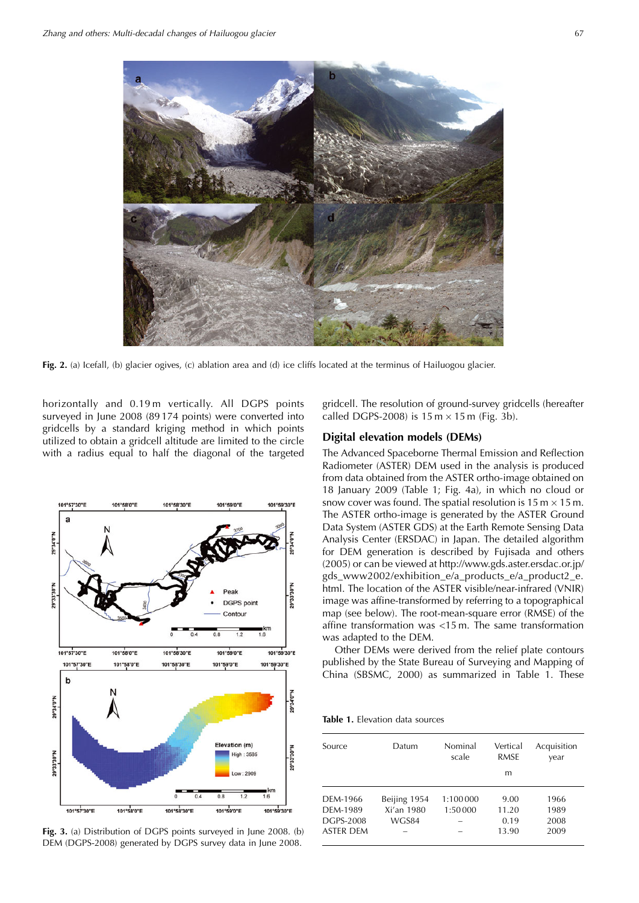

**Fig. 2.** (a) Icefall, (b) glacier ogives, (c) ablation area and (d) ice cliffs located at the terminus of Hailuogou glacier.

horizontally and 0.19 m vertically. All DGPS points surveyed in June 2008 (89 174 points) were converted into gridcells by a standard kriging method in which points utilized to obtain a gridcell altitude are limited to the circle with a radius equal to half the diagonal of the targeted



**Fig. 3.** (a) Distribution of DGPS points surveyed in June 2008. (b) DEM (DGPS-2008) generated by DGPS survey data in June 2008.

gridcell. The resolution of ground-survey gridcells (hereafter called DGPS-2008) is  $15 \text{ m} \times 15 \text{ m}$  (Fig. 3b).

## **Digital elevation models (DEMs)**

The Advanced Spaceborne Thermal Emission and Reflection Radiometer (ASTER) DEM used in the analysis is produced from data obtained from the ASTER ortho-image obtained on 18 January 2009 (Table 1; Fig. 4a), in which no cloud or snow cover was found. The spatial resolution is 15 m  $\times$  15 m. The ASTER ortho-image is generated by the ASTER Ground Data System (ASTER GDS) at the Earth Remote Sensing Data Analysis Center (ERSDAC) in Japan. The detailed algorithm for DEM generation is described by Fujisada and others (2005) or can be viewed at http://www.gds.aster.ersdac.or.jp/ gds\_www2002/exhibition\_e/a\_products\_e/a\_product2\_e. html. The location of the ASTER visible/near-infrared (VNIR) image was affine-transformed by referring to a topographical map (see below). The root-mean-square error (RMSE) of the affine transformation was <15 m. The same transformation was adapted to the DEM.

Other DEMs were derived from the relief plate contours published by the State Bureau of Surveying and Mapping of China (SBSMC, 2000) as summarized in Table 1. These

**Table 1.** Elevation data sources

| Source                                                | Datum                               | Nominal<br>scale      | Vertical<br><b>RMSE</b><br>m   | Acquisition<br>vear          |
|-------------------------------------------------------|-------------------------------------|-----------------------|--------------------------------|------------------------------|
| DFM-1966<br>DFM-1989<br><b>DGPS-2008</b><br>ASTER DEM | Beijing 1954<br>Xi'an 1980<br>WGS84 | 1:100 000<br>1:50 000 | 9.00<br>11.20<br>0.19<br>13.90 | 1966<br>1989<br>2008<br>2009 |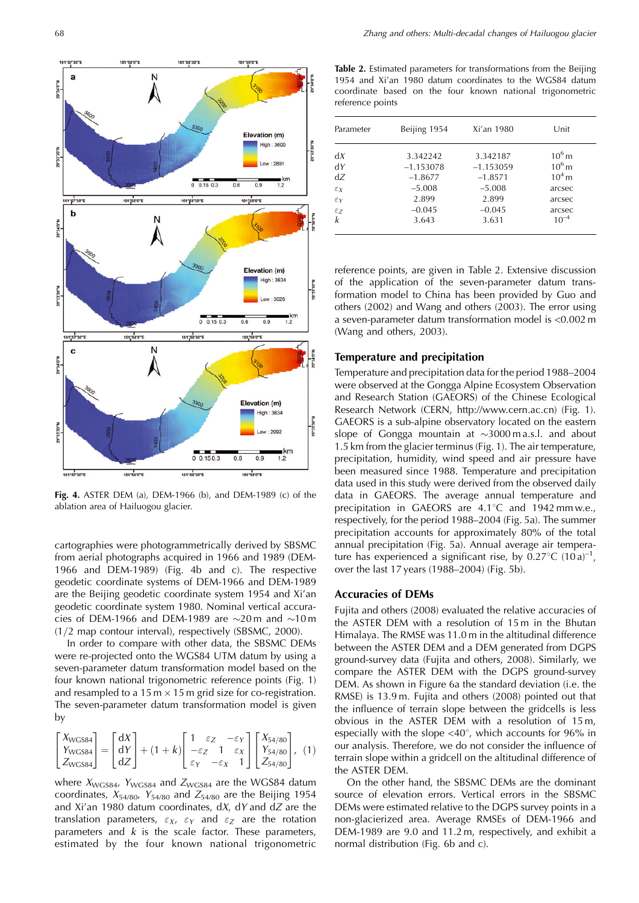

**Fig. 4.** ASTER DEM (a), DEM-1966 (b), and DEM-1989 (c) of the ablation area of Hailuogou glacier.

cartographies were photogrammetrically derived by SBSMC from aerial photographs acquired in 1966 and 1989 (DEM-1966 and DEM-1989) (Fig. 4b and c). The respective geodetic coordinate systems of DEM-1966 and DEM-1989 are the Beijing geodetic coordinate system 1954 and Xi'an geodetic coordinate system 1980. Nominal vertical accuracies of DEM-1966 and DEM-1989 are  $\sim$ 20 m and  $\sim$ 10 m (1/2 map contour interval), respectively (SBSMC, 2000).

In order to compare with other data, the SBSMC DEMs were re-projected onto the WGS84 UTM datum by using a seven-parameter datum transformation model based on the four known national trigonometric reference points (Fig. 1) and resampled to a 15 m  $\times$  15 m grid size for co-registration. The seven-parameter datum transformation model is given by

$$
\begin{bmatrix} X_{\text{WGS84}} \\ Y_{\text{WGS84}} \\ Z_{\text{WGS84}} \end{bmatrix} = \begin{bmatrix} dX \\ dY \\ dZ \end{bmatrix} + (1+k) \begin{bmatrix} 1 & \varepsilon_Z & -\varepsilon_Y \\ -\varepsilon_Z & 1 & \varepsilon_X \\ \varepsilon_Y & -\varepsilon_X & 1 \end{bmatrix} \begin{bmatrix} X_{54/80} \\ Y_{54/80} \\ Z_{54/80} \end{bmatrix}, \tag{1}
$$

where  $X_{\text{WGS84}}$ ,  $Y_{\text{WGS84}}$  and  $Z_{\text{WGS84}}$  are the WGS84 datum coordinates,  $X_{54/80}$ ,  $Y_{54/80}$  and  $Z_{54/80}$  are the Beijing 1954 and Xi'an 1980 datum coordinates,  $dX$ ,  $dY$  and  $dZ$  are the translation parameters,  $\varepsilon_X$ ,  $\varepsilon_Y$  and  $\varepsilon_Z$  are the rotation parameters and  $k$  is the scale factor. These parameters, estimated by the four known national trigonometric

**Table 2.** Estimated parameters for transformations from the Beijing 1954 and Xi'an 1980 datum coordinates to the WGS84 datum coordinate based on the four known national trigonometric reference points

| Parameter       | Beijing 1954 | Xi'an 1980  | Unit      |
|-----------------|--------------|-------------|-----------|
| dx              | 3.342242     | 3.342187    | $10^6$ m  |
| dY              | $-1.153078$  | $-1.153059$ | $10^6$ m  |
| dZ              | $-1.8677$    | $-1.8571$   | $104$ m   |
| $\varepsilon_X$ | $-5.008$     | $-5.008$    | arcsec    |
| $\varepsilon_Y$ | 2.899        | 2.899       | arcsec    |
| $\varepsilon$ z | $-0.045$     | $-0.045$    | arcsec    |
| k               | 3.643        | 3.631       | $10^{-4}$ |

reference points, are given in Table 2. Extensive discussion of the application of the seven-parameter datum transformation model to China has been provided by Guo and others (2002) and Wang and others (2003). The error using a seven-parameter datum transformation model is <0.002 m (Wang and others, 2003).

# **Temperature and precipitation**

Temperature and precipitation data for the period 1988–2004 were observed at the Gongga Alpine Ecosystem Observation and Research Station (GAEORS) of the Chinese Ecological Research Network (CERN, http://www.cern.ac.cn) (Fig. 1). GAEORS is a sub-alpine observatory located on the eastern slope of Gongga mountain at  $\sim$ 3000 m a.s.l. and about 1.5 km from the glacier terminus (Fig. 1). The air temperature, precipitation, humidity, wind speed and air pressure have been measured since 1988. Temperature and precipitation data used in this study were derived from the observed daily data in GAEORS. The average annual temperature and precipitation in GAEORS are  $4.1^{\circ}$ C and 1942 mm w.e., respectively, for the period 1988–2004 (Fig. 5a). The summer precipitation accounts for approximately 80% of the total annual precipitation (Fig. 5a). Annual average air temperature has experienced a significant rise, by  $0.27^{\circ}$ C  $(10a)^{-1}$ , over the last 17 years (1988–2004) (Fig. 5b).

#### **Accuracies of DEMs**

Fujita and others (2008) evaluated the relative accuracies of the ASTER DEM with a resolution of 15 m in the Bhutan Himalaya. The RMSE was 11.0 m in the altitudinal difference between the ASTER DEM and a DEM generated from DGPS ground-survey data (Fujita and others, 2008). Similarly, we compare the ASTER DEM with the DGPS ground-survey DEM. As shown in Figure 6a the standard deviation (i.e. the RMSE) is 13.9 m. Fujita and others (2008) pointed out that the influence of terrain slope between the gridcells is less obvious in the ASTER DEM with a resolution of 15 m, especially with the slope  $\langle 40^\circ \rangle$ , which accounts for 96% in our analysis. Therefore, we do not consider the influence of terrain slope within a gridcell on the altitudinal difference of the ASTER DEM.

On the other hand, the SBSMC DEMs are the dominant source of elevation errors. Vertical errors in the SBSMC DEMs were estimated relative to the DGPS survey points in a non-glacierized area. Average RMSEs of DEM-1966 and DEM-1989 are 9.0 and 11.2 m, respectively, and exhibit a normal distribution (Fig. 6b and c).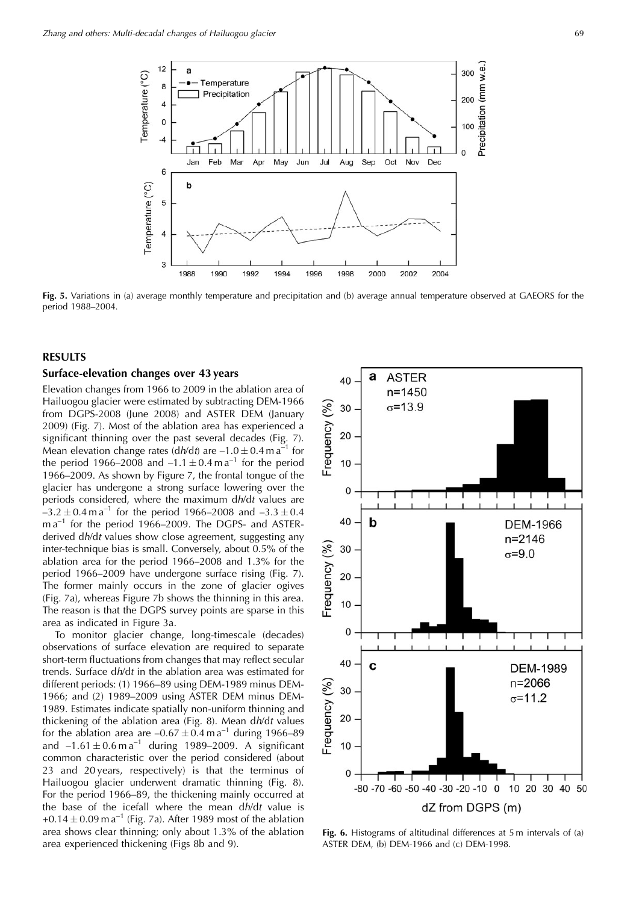

**Fig. 5.** Variations in (a) average monthly temperature and precipitation and (b) average annual temperature observed at GAEORS for the period 1988–2004.

## **RESULTS**

## **Surface-elevation changes over 43 years**

Elevation changes from 1966 to 2009 in the ablation area of Hailuogou glacier were estimated by subtracting DEM-1966 from DGPS-2008 (June 2008) and ASTER DEM (January 2009) (Fig. 7). Most of the ablation area has experienced a significant thinning over the past several decades (Fig. 7). Mean elevation change rates  $\left(\frac{dh}{dt}\right)$  are  $-1.0 \pm 0.4$  m a<sup>-1</sup> for the period 1966–2008 and  $-1.1 \pm 0.4$  m a<sup>-1</sup> for the period 1966–2009. As shown by Figure 7, the frontal tongue of the glacier has undergone a strong surface lowering over the periods considered, where the maximum dh/dt values are  $-3.2 \pm 0.4$  m a<sup>-1</sup> for the period 1966–2008 and  $-3.3 \pm 0.4$  $ma^{-1}$  for the period 1966–2009. The DGPS- and ASTERderived dh/dt values show close agreement, suggesting any inter-technique bias is small. Conversely, about 0.5% of the ablation area for the period 1966–2008 and 1.3% for the period 1966–2009 have undergone surface rising (Fig. 7). The former mainly occurs in the zone of glacier ogives (Fig. 7a), whereas Figure 7b shows the thinning in this area. The reason is that the DGPS survey points are sparse in this area as indicated in Figure 3a.

To monitor glacier change, long-timescale (decades) observations of surface elevation are required to separate short-term fluctuations from changes that may reflect secular trends. Surface dh/dt in the ablation area was estimated for different periods: (1) 1966–89 using DEM-1989 minus DEM-1966; and (2) 1989–2009 using ASTER DEM minus DEM-1989. Estimates indicate spatially non-uniform thinning and thickening of the ablation area (Fig. 8). Mean dh/dt values for the ablation area are  $-0.67 \pm 0.4$  m a<sup>-1</sup> during 1966–89 and  $-1.61 \pm 0.6$  m a<sup>-1</sup> during 1989–2009. A significant common characteristic over the period considered (about 23 and 20 years, respectively) is that the terminus of Hailuogou glacier underwent dramatic thinning (Fig. 8). For the period 1966–89, the thickening mainly occurred at the base of the icefall where the mean dh/dt value is +0.14  $\pm$  0.09 m a<sup>-1</sup> (Fig. 7a). After 1989 most of the ablation area shows clear thinning; only about 1.3% of the ablation area experienced thickening (Figs 8b and 9).



**Fig. 6.** Histograms of altitudinal differences at 5 m intervals of (a) ASTER DEM, (b) DEM-1966 and (c) DEM-1998.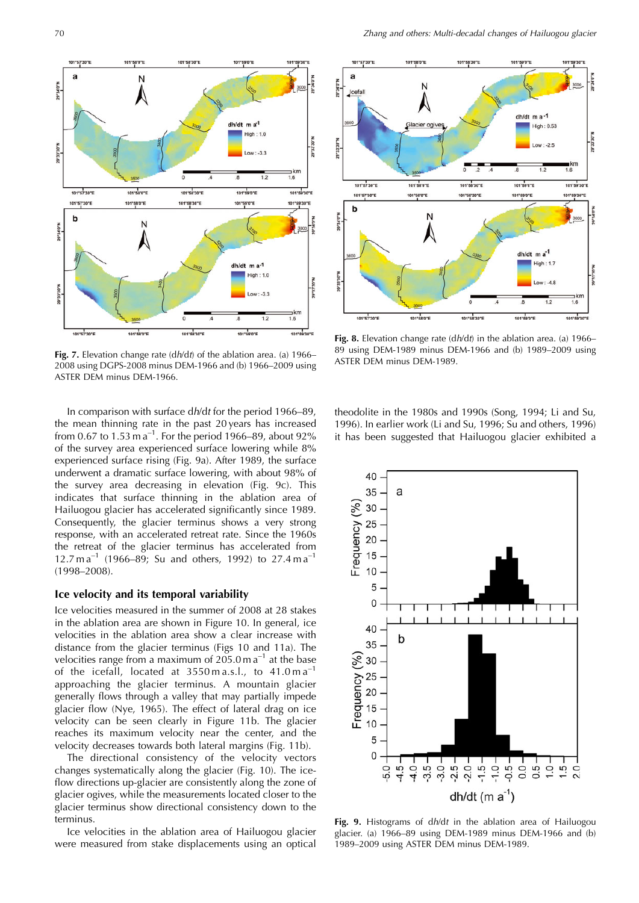

**Fig. 7.** Elevation change rate (dh/dt) of the ablation area. (a) 1966– 2008 using DGPS-2008 minus DEM-1966 and (b) 1966–2009 using ASTER DEM minus DEM-1966.

In comparison with surface dh/dt for the period 1966–89, the mean thinning rate in the past 20 years has increased from 0.67 to 1.53 m  $a^{-1}$ . For the period 1966–89, about 92% of the survey area experienced surface lowering while 8% experienced surface rising (Fig. 9a). After 1989, the surface underwent a dramatic surface lowering, with about 98% of the survey area decreasing in elevation (Fig. 9c). This indicates that surface thinning in the ablation area of Hailuogou glacier has accelerated significantly since 1989. Consequently, the glacier terminus shows a very strong response, with an accelerated retreat rate. Since the 1960s the retreat of the glacier terminus has accelerated from 12.7 m a<sup>-1</sup> (1966–89; Su and others, 1992) to 27.4 m a<sup>-1</sup> (1998–2008).

#### **Ice velocity and its temporal variability**

Ice velocities measured in the summer of 2008 at 28 stakes in the ablation area are shown in Figure 10. In general, ice velocities in the ablation area show a clear increase with distance from the glacier terminus (Figs 10 and 11a). The velocities range from a maximum of  $205.0$  m a<sup>-1</sup> at the base of the icefall, located at  $3550 \text{ m a.s.}$ l., to  $41.0 \text{ m a}^{-1}$ approaching the glacier terminus. A mountain glacier generally flows through a valley that may partially impede glacier flow (Nye, 1965). The effect of lateral drag on ice velocity can be seen clearly in Figure 11b. The glacier reaches its maximum velocity near the center, and the velocity decreases towards both lateral margins (Fig. 11b).

The directional consistency of the velocity vectors changes systematically along the glacier (Fig. 10). The iceflow directions up-glacier are consistently along the zone of glacier ogives, while the measurements located closer to the glacier terminus show directional consistency down to the terminus.

Ice velocities in the ablation area of Hailuogou glacier were measured from stake displacements using an optical



**Fig. 8.** Elevation change rate (dh/dt) in the ablation area. (a) 1966– 89 using DEM-1989 minus DEM-1966 and (b) 1989–2009 using ASTER DEM minus DEM-1989.

theodolite in the 1980s and 1990s (Song, 1994; Li and Su, 1996). In earlier work (Li and Su, 1996; Su and others, 1996) it has been suggested that Hailuogou glacier exhibited a



**Fig. 9.** Histograms of dh/dt in the ablation area of Hailuogou glacier. (a) 1966–89 using DEM-1989 minus DEM-1966 and (b) 1989–2009 using ASTER DEM minus DEM-1989.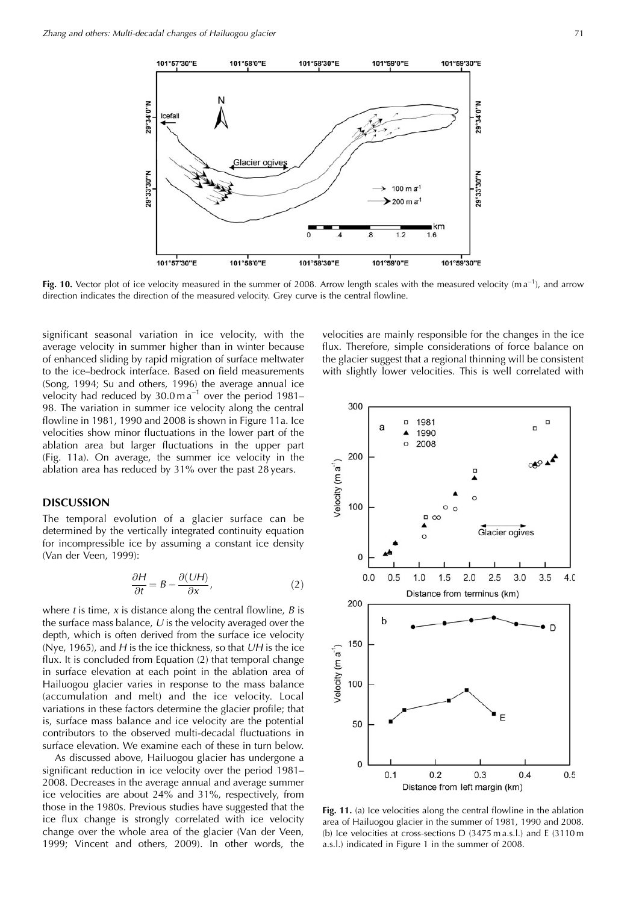

**Fig. 10.** Vector plot of ice velocity measured in the summer of 2008. Arrow length scales with the measured velocity (m a<sup>-1</sup>), and arrow direction indicates the direction of the measured velocity. Grey curve is the central flowline.

significant seasonal variation in ice velocity, with the average velocity in summer higher than in winter because of enhanced sliding by rapid migration of surface meltwater to the ice–bedrock interface. Based on field measurements (Song, 1994; Su and others, 1996) the average annual ice velocity had reduced by  $30.0 \text{ m a}^{-1}$  over the period 1981– 98. The variation in summer ice velocity along the central flowline in 1981, 1990 and 2008 is shown in Figure 11a. Ice velocities show minor fluctuations in the lower part of the ablation area but larger fluctuations in the upper part (Fig. 11a). On average, the summer ice velocity in the ablation area has reduced by 31% over the past 28 years.

#### **DISCUSSION**

The temporal evolution of a glacier surface can be determined by the vertically integrated continuity equation for incompressible ice by assuming a constant ice density (Van der Veen, 1999):

$$
\frac{\partial H}{\partial t} = B - \frac{\partial (UH)}{\partial x},\tag{2}
$$

where t is time, x is distance along the central flowline,  $B$  is the surface mass balance,  $U$  is the velocity averaged over the depth, which is often derived from the surface ice velocity (Nye, 1965), and  $H$  is the ice thickness, so that  $UH$  is the ice flux. It is concluded from Equation (2) that temporal change in surface elevation at each point in the ablation area of Hailuogou glacier varies in response to the mass balance (accumulation and melt) and the ice velocity. Local variations in these factors determine the glacier profile; that is, surface mass balance and ice velocity are the potential contributors to the observed multi-decadal fluctuations in surface elevation. We examine each of these in turn below.

As discussed above, Hailuogou glacier has undergone a significant reduction in ice velocity over the period 1981– 2008. Decreases in the average annual and average summer ice velocities are about 24% and 31%, respectively, from those in the 1980s. Previous studies have suggested that the ice flux change is strongly correlated with ice velocity change over the whole area of the glacier (Van der Veen, 1999; Vincent and others, 2009). In other words, the

velocities are mainly responsible for the changes in the ice flux. Therefore, simple considerations of force balance on the glacier suggest that a regional thinning will be consistent with slightly lower velocities. This is well correlated with



Fig. 11. (a) Ice velocities along the central flowline in the ablation area of Hailuogou glacier in the summer of 1981, 1990 and 2008. (b) Ice velocities at cross-sections D (3475 m a.s.l.) and E (3110 m a.s.l.) indicated in Figure 1 in the summer of 2008.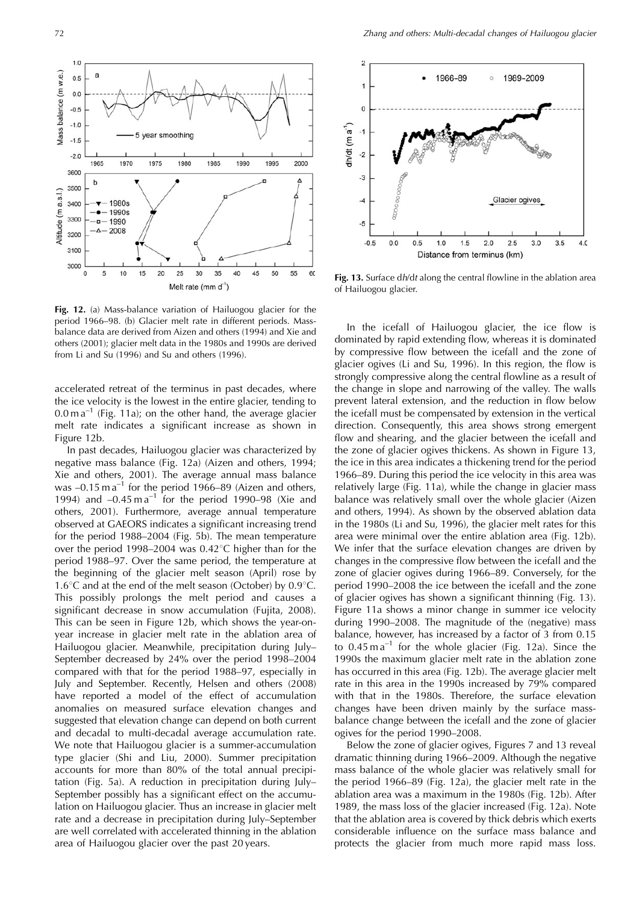

**Fig. 12.** (a) Mass-balance variation of Hailuogou glacier for the period 1966–98. (b) Glacier melt rate in different periods. Massbalance data are derived from Aizen and others (1994) and Xie and others (2001); glacier melt data in the 1980s and 1990s are derived from Li and Su (1996) and Su and others (1996).

accelerated retreat of the terminus in past decades, where the ice velocity is the lowest in the entire glacier, tending to  $0.0 \text{ m a}^{-1}$  (Fig. 11a); on the other hand, the average glacier melt rate indicates a significant increase as shown in Figure 12b.

In past decades, Hailuogou glacier was characterized by negative mass balance (Fig. 12a) (Aizen and others, 1994; Xie and others, 2001). The average annual mass balance was  $-0.15$  m a<sup>-1</sup> for the period 1966–89 (Aizen and others, 1994) and  $-0.45$  m a<sup>-1</sup> for the period 1990–98 (Xie and others, 2001). Furthermore, average annual temperature observed at GAEORS indicates a significant increasing trend for the period 1988–2004 (Fig. 5b). The mean temperature over the period 1998–2004 was  $0.42^{\circ}$ C higher than for the period 1988–97. Over the same period, the temperature at the beginning of the glacier melt season (April) rose by 1.6 $\degree$ C and at the end of the melt season (October) by 0.9 $\degree$ C. This possibly prolongs the melt period and causes a significant decrease in snow accumulation (Fujita, 2008). This can be seen in Figure 12b, which shows the year-onyear increase in glacier melt rate in the ablation area of Hailuogou glacier. Meanwhile, precipitation during July– September decreased by 24% over the period 1998–2004 compared with that for the period 1988–97, especially in July and September. Recently, Helsen and others (2008) have reported a model of the effect of accumulation anomalies on measured surface elevation changes and suggested that elevation change can depend on both current and decadal to multi-decadal average accumulation rate. We note that Hailuogou glacier is a summer-accumulation type glacier (Shi and Liu, 2000). Summer precipitation accounts for more than 80% of the total annual precipitation (Fig. 5a). A reduction in precipitation during July– September possibly has a significant effect on the accumulation on Hailuogou glacier. Thus an increase in glacier melt rate and a decrease in precipitation during July–September are well correlated with accelerated thinning in the ablation area of Hailuogou glacier over the past 20 years.



**Fig. 13.** Surface dh/dt along the central flowline in the ablation area of Hailuogou glacier.

In the icefall of Hailuogou glacier, the ice flow is dominated by rapid extending flow, whereas it is dominated by compressive flow between the icefall and the zone of glacier ogives (Li and Su, 1996). In this region, the flow is strongly compressive along the central flowline as a result of the change in slope and narrowing of the valley. The walls prevent lateral extension, and the reduction in flow below the icefall must be compensated by extension in the vertical direction. Consequently, this area shows strong emergent flow and shearing, and the glacier between the icefall and the zone of glacier ogives thickens. As shown in Figure 13, the ice in this area indicates a thickening trend for the period 1966–89. During this period the ice velocity in this area was relatively large (Fig. 11a), while the change in glacier mass balance was relatively small over the whole glacier (Aizen and others, 1994). As shown by the observed ablation data in the 1980s (Li and Su, 1996), the glacier melt rates for this area were minimal over the entire ablation area (Fig. 12b). We infer that the surface elevation changes are driven by changes in the compressive flow between the icefall and the zone of glacier ogives during 1966–89. Conversely, for the period 1990–2008 the ice between the icefall and the zone of glacier ogives has shown a significant thinning (Fig. 13). Figure 11a shows a minor change in summer ice velocity during 1990–2008. The magnitude of the (negative) mass balance, however, has increased by a factor of 3 from 0.15 to  $0.45 \text{ m a}^{-1}$  for the whole glacier (Fig. 12a). Since the 1990s the maximum glacier melt rate in the ablation zone has occurred in this area (Fig. 12b). The average glacier melt rate in this area in the 1990s increased by 79% compared with that in the 1980s. Therefore, the surface elevation changes have been driven mainly by the surface massbalance change between the icefall and the zone of glacier ogives for the period 1990–2008.

Below the zone of glacier ogives, Figures 7 and 13 reveal dramatic thinning during 1966–2009. Although the negative mass balance of the whole glacier was relatively small for the period 1966–89 (Fig. 12a), the glacier melt rate in the ablation area was a maximum in the 1980s (Fig. 12b). After 1989, the mass loss of the glacier increased (Fig. 12a). Note that the ablation area is covered by thick debris which exerts considerable influence on the surface mass balance and protects the glacier from much more rapid mass loss.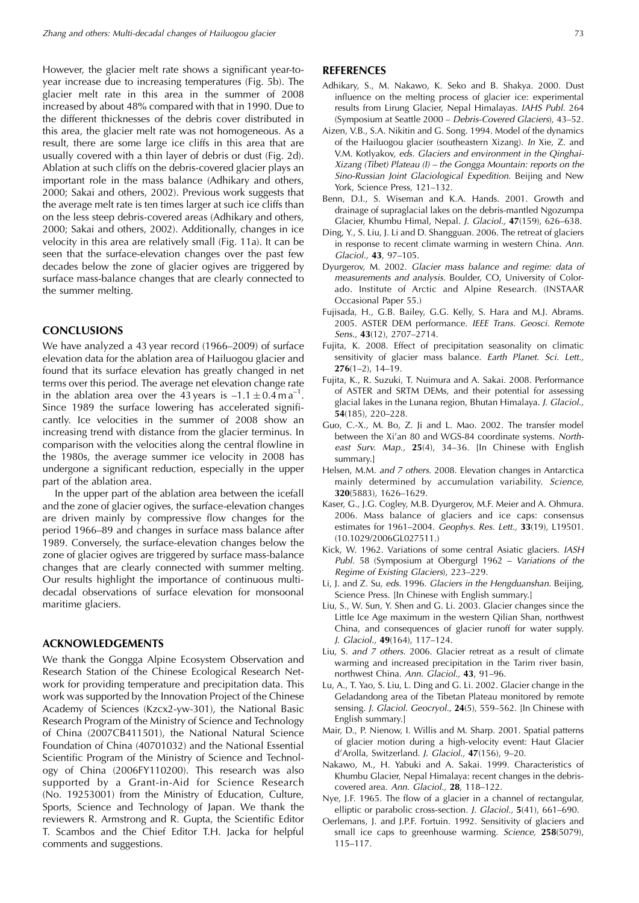However, the glacier melt rate shows a significant year-toyear increase due to increasing temperatures (Fig. 5b). The glacier melt rate in this area in the summer of 2008 increased by about 48% compared with that in 1990. Due to the different thicknesses of the debris cover distributed in this area, the glacier melt rate was not homogeneous. As a result, there are some large ice cliffs in this area that are usually covered with a thin layer of debris or dust (Fig. 2d). Ablation at such cliffs on the debris-covered glacier plays an important role in the mass balance (Adhikary and others, 2000; Sakai and others, 2002). Previous work suggests that the average melt rate is ten times larger at such ice cliffs than on the less steep debris-covered areas (Adhikary and others, 2000; Sakai and others, 2002). Additionally, changes in ice velocity in this area are relatively small (Fig. 11a). It can be seen that the surface-elevation changes over the past few decades below the zone of glacier ogives are triggered by surface mass-balance changes that are clearly connected to the summer melting.

#### **CONCLUSIONS**

We have analyzed a 43 year record (1966–2009) of surface elevation data for the ablation area of Hailuogou glacier and found that its surface elevation has greatly changed in net terms over this period. The average net elevation change rate in the ablation area over the 43 years is  $-1.1 \pm 0.4 \text{ m a}^{-1}$ . Since 1989 the surface lowering has accelerated significantly. Ice velocities in the summer of 2008 show an increasing trend with distance from the glacier terminus. In comparison with the velocities along the central flowline in the 1980s, the average summer ice velocity in 2008 has undergone a significant reduction, especially in the upper part of the ablation area.

In the upper part of the ablation area between the icefall and the zone of glacier ogives, the surface-elevation changes are driven mainly by compressive flow changes for the period 1966–89 and changes in surface mass balance after 1989. Conversely, the surface-elevation changes below the zone of glacier ogives are triggered by surface mass-balance changes that are clearly connected with summer melting. Our results highlight the importance of continuous multidecadal observations of surface elevation for monsoonal maritime glaciers.

#### **ACKNOWLEDGEMENTS**

We thank the Gongga Alpine Ecosystem Observation and Research Station of the Chinese Ecological Research Network for providing temperature and precipitation data. This work was supported by the Innovation Project of the Chinese Academy of Sciences (Kzcx2-yw-301), the National Basic Research Program of the Ministry of Science and Technology of China (2007CB411501), the National Natural Science Foundation of China (40701032) and the National Essential Scientific Program of the Ministry of Science and Technology of China (2006FY110200). This research was also supported by a Grant-in-Aid for Science Research (No. 19253001) from the Ministry of Education, Culture, Sports, Science and Technology of Japan. We thank the reviewers R. Armstrong and R. Gupta, the Scientific Editor T. Scambos and the Chief Editor T.H. Jacka for helpful comments and suggestions.

#### **REFERENCES**

- Adhikary, S., M. Nakawo, K. Seko and B. Shakya. 2000. Dust influence on the melting process of glacier ice: experimental results from Lirung Glacier, Nepal Himalayas. IAHS Publ. 264 (Symposium at Seattle 2000 – Debris-Covered Glaciers), 43–52.
- Aizen, V.B., S.A. Nikitin and G. Song. 1994. Model of the dynamics of the Hailuogou glacier (southeastern Xizang). In Xie, Z. and V.M. Kotlyakov, eds. Glaciers and environment in the Qinghai-Xizang (Tibet) Plateau (I) – the Gongga Mountain: reports on the Sino-Russian Joint Glaciological Expedition. Beijing and New York, Science Press, 121–132.
- Benn, D.I., S. Wiseman and K.A. Hands. 2001. Growth and drainage of supraglacial lakes on the debris-mantled Ngozumpa Glacier, Khumbu Himal, Nepal. J. Glaciol., **47**(159), 626–638.
- Ding, Y., S. Liu, J. Li and D. Shangguan. 2006. The retreat of glaciers in response to recent climate warming in western China. Ann. Glaciol., **43**, 97–105.
- Dyurgerov, M. 2002. Glacier mass balance and regime: data of measurements and analysis. Boulder, CO, University of Colorado. Institute of Arctic and Alpine Research. (INSTAAR Occasional Paper 55.)
- Fujisada, H., G.B. Bailey, G.G. Kelly, S. Hara and M.J. Abrams. 2005. ASTER DEM performance. IEEE Trans. Geosci. Remote Sens., **43**(12), 2707–2714.
- Fujita, K. 2008. Effect of precipitation seasonality on climatic sensitivity of glacier mass balance. Earth Planet. Sci. Lett., **276**(1–2), 14–19.
- Fujita, K., R. Suzuki, T. Nuimura and A. Sakai. 2008. Performance of ASTER and SRTM DEMs, and their potential for assessing glacial lakes in the Lunana region, Bhutan Himalaya. J. Glaciol., **54**(185), 220–228.
- Guo, C.-X., M. Bo, Z. Ji and L. Mao. 2002. The transfer model between the Xi'an 80 and WGS-84 coordinate systems. Northeast Surv. Map., **25**(4), 34–36. [In Chinese with English summary.]
- Helsen, M.M. and 7 others. 2008. Elevation changes in Antarctica mainly determined by accumulation variability. Science, **320**(5883), 1626–1629.
- Kaser, G., J.G. Cogley, M.B. Dyurgerov, M.F. Meier and A. Ohmura. 2006. Mass balance of glaciers and ice caps: consensus estimates for 1961–2004. Geophys. Res. Lett., **33**(19), L19501. (10.1029/2006GL027511.)
- Kick, W. 1962. Variations of some central Asiatic glaciers. IASH Publ. 58 (Symposium at Obergurgl 1962 – Variations of the Regime of Existing Glaciers), 223–229.
- Li, J. and Z. Su, eds. 1996. Glaciers in the Hengduanshan. Beijing, Science Press. [In Chinese with English summary.]
- Liu, S., W. Sun, Y. Shen and G. Li. 2003. Glacier changes since the Little Ice Age maximum in the western Qilian Shan, northwest China, and consequences of glacier runoff for water supply. J. Glaciol., **49**(164), 117–124.
- Liu, S. and 7 others. 2006. Glacier retreat as a result of climate warming and increased precipitation in the Tarim river basin, northwest China. Ann. Glaciol., **43**, 91–96.
- Lu, A., T. Yao, S. Liu, L. Ding and G. Li. 2002. Glacier change in the Geladandong area of the Tibetan Plateau monitored by remote sensing. J. Glaciol. Geocryol., **24**(5), 559–562. [In Chinese with English summary.]
- Mair, D., P. Nienow, I. Willis and M. Sharp. 2001. Spatial patterns of glacier motion during a high-velocity event: Haut Glacier d'Arolla, Switzerland. J. Glaciol., **47**(156), 9–20.
- Nakawo, M., H. Yabuki and A. Sakai. 1999. Characteristics of Khumbu Glacier, Nepal Himalaya: recent changes in the debriscovered area. Ann. Glaciol., **28**, 118–122.
- Nye, J.F. 1965. The flow of a glacier in a channel of rectangular, elliptic or parabolic cross-section. J. Glaciol., **5**(41), 661–690.
- Oerlemans, J. and J.P.F. Fortuin. 1992. Sensitivity of glaciers and small ice caps to greenhouse warming. Science, **258**(5079), 115–117.